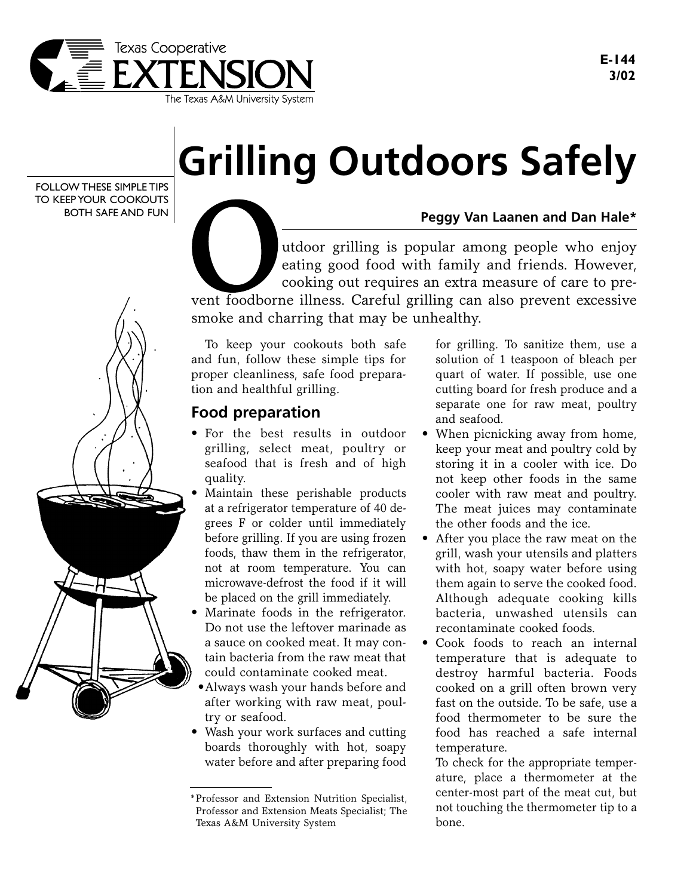

FOLLOW THESE SIMPLE TIPS TO KEEP YOUR COOKOUTS BOTH SAFE AND FUN



## **Grilling Outdoors Safely**

**Peggy Van Laanen and Dan Hale\***

utdoor grilling is popular among people who enjoy eating good food with family and friends. However, cooking out requires an extra measure of care to prevent foodborne illness. Careful grilling can also prevent excessive smoke and charring that may be unhealthy.

To keep your cookouts both safe and fun, follow these simple tips for proper cleanliness, safe food preparation and healthful grilling.

## **Food preparation**

- For the best results in outdoor grilling, select meat, poultry or seafood that is fresh and of high quality.
- Maintain these perishable products at a refrigerator temperature of 40 degrees F or colder until immediately before grilling. If you are using frozen foods, thaw them in the refrigerator, not at room temperature. You can microwave-defrost the food if it will be placed on the grill immediately.
- Marinate foods in the refrigerator. Do not use the leftover marinade as a sauce on cooked meat. It may contain bacteria from the raw meat that could contaminate cooked meat.
- •Always wash your hands before and after working with raw meat, poultry or seafood.
- Wash your work surfaces and cutting boards thoroughly with hot, soapy water before and after preparing food

for grilling. To sanitize them, use a solution of 1 teaspoon of bleach per quart of water. If possible, use one cutting board for fresh produce and a separate one for raw meat, poultry and seafood.

- When picnicking away from home, keep your meat and poultry cold by storing it in a cooler with ice. Do not keep other foods in the same cooler with raw meat and poultry. The meat juices may contaminate the other foods and the ice.
- After you place the raw meat on the grill, wash your utensils and platters with hot, soapy water before using them again to serve the cooked food. Although adequate cooking kills bacteria, unwashed utensils can recontaminate cooked foods.
- Cook foods to reach an internal temperature that is adequate to destroy harmful bacteria. Foods cooked on a grill often brown very fast on the outside. To be safe, use a food thermometer to be sure the food has reached a safe internal temperature.

To check for the appropriate temperature, place a thermometer at the center-most part of the meat cut, but not touching the thermometer tip to a bone.

<sup>\*</sup>Professor and Extension Nutrition Specialist, Professor and Extension Meats Specialist; The Texas A&M University System